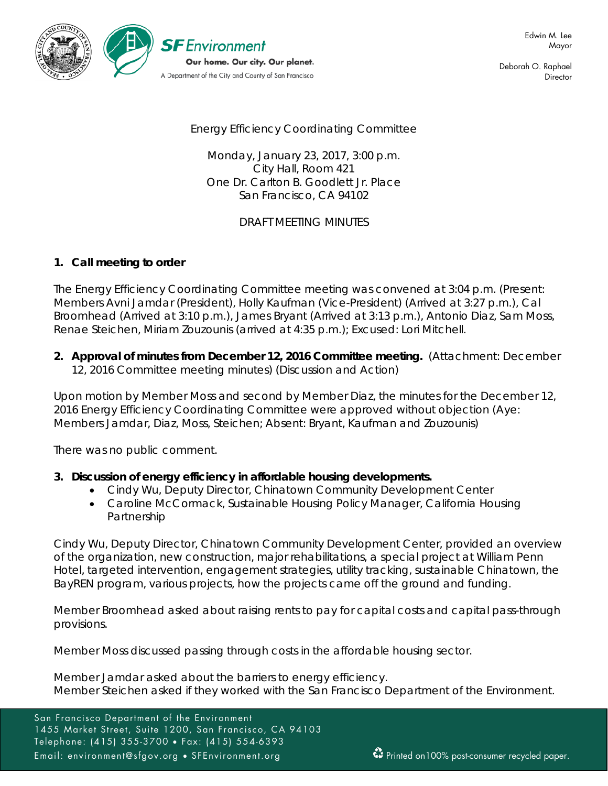

Deborah O. Raphael **Director** 

Energy Efficiency Coordinating Committee

Monday, January 23, 2017, 3:00 p.m. City Hall, Room 421 One Dr. Carlton B. Goodlett Jr. Place San Francisco, CA 94102

DRAFT MEETING MINUTES

## **1. Call meeting to order**

The Energy Efficiency Coordinating Committee meeting was convened at 3:04 p.m. (Present: Members Avni Jamdar (President), Holly Kaufman (Vice-President) (Arrived at 3:27 p.m.), Cal Broomhead (Arrived at 3:10 p.m.), James Bryant (Arrived at 3:13 p.m.), Antonio Diaz, Sam Moss, Renae Steichen, Miriam Zouzounis (arrived at 4:35 p.m.); Excused: Lori Mitchell.

**2. Approval of minutes from December 12, 2016 Committee meeting.** (Attachment: December 12, 2016 Committee meeting minutes) (Discussion and Action)

Upon motion by Member Moss and second by Member Diaz, the minutes for the December 12, 2016 Energy Efficiency Coordinating Committee were approved without objection (Aye: Members Jamdar, Diaz, Moss, Steichen; Absent: Bryant, Kaufman and Zouzounis)

There was no public comment.

- **3. Discussion of energy efficiency in affordable housing developments.**
	- Cindy Wu, Deputy Director, Chinatown Community Development Center
	- Caroline McCormack, Sustainable Housing Policy Manager, California Housing Partnership

Cindy Wu, Deputy Director, Chinatown Community Development Center, provided an overview of the organization, new construction, major rehabilitations, a special project at William Penn Hotel, targeted intervention, engagement strategies, utility tracking, sustainable Chinatown, the BayREN program, various projects, how the projects came off the ground and funding.

Member Broomhead asked about raising rents to pay for capital costs and capital pass-through provisions.

Member Moss discussed passing through costs in the affordable housing sector.

Member Jamdar asked about the barriers to energy efficiency. Member Steichen asked if they worked with the San Francisco Department of the Environment.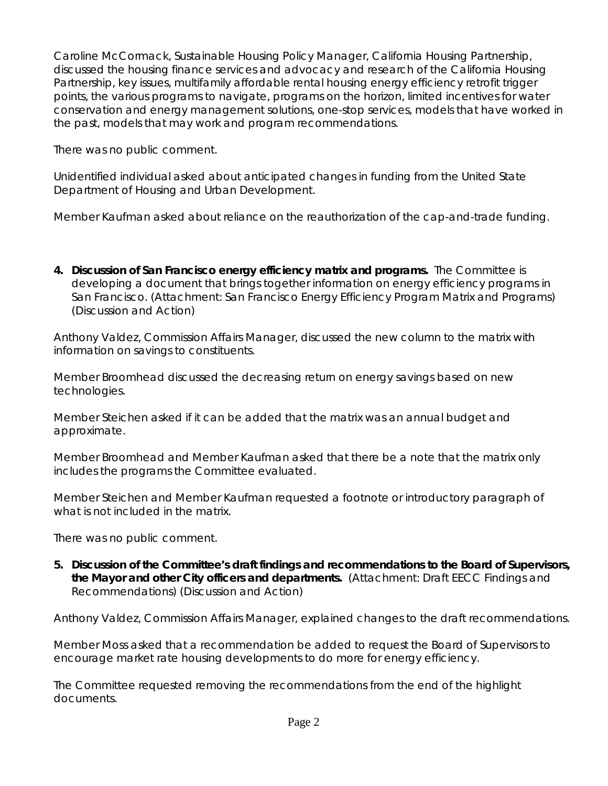Caroline McCormack, Sustainable Housing Policy Manager, California Housing Partnership, discussed the housing finance services and advocacy and research of the California Housing Partnership, key issues, multifamily affordable rental housing energy efficiency retrofit trigger points, the various programs to navigate, programs on the horizon, limited incentives for water conservation and energy management solutions, one-stop services, models that have worked in the past, models that may work and program recommendations.

There was no public comment.

Unidentified individual asked about anticipated changes in funding from the United State Department of Housing and Urban Development.

Member Kaufman asked about reliance on the reauthorization of the cap-and-trade funding.

**4. Discussion of San Francisco energy efficiency matrix and programs.** The Committee is developing a document that brings together information on energy efficiency programs in San Francisco. (Attachment: San Francisco Energy Efficiency Program Matrix and Programs) (Discussion and Action)

Anthony Valdez, Commission Affairs Manager, discussed the new column to the matrix with information on savings to constituents.

Member Broomhead discussed the decreasing return on energy savings based on new technologies.

Member Steichen asked if it can be added that the matrix was an annual budget and approximate.

Member Broomhead and Member Kaufman asked that there be a note that the matrix only includes the programs the Committee evaluated.

Member Steichen and Member Kaufman requested a footnote or introductory paragraph of what is not included in the matrix.

There was no public comment.

**5. Discussion of the Committee's draft findings and recommendations to the Board of Supervisors, the Mayor and other City officers and departments.** (Attachment: Draft EECC Findings and Recommendations) (Discussion and Action)

Anthony Valdez, Commission Affairs Manager, explained changes to the draft recommendations.

Member Moss asked that a recommendation be added to request the Board of Supervisors to encourage market rate housing developments to do more for energy efficiency.

The Committee requested removing the recommendations from the end of the highlight documents.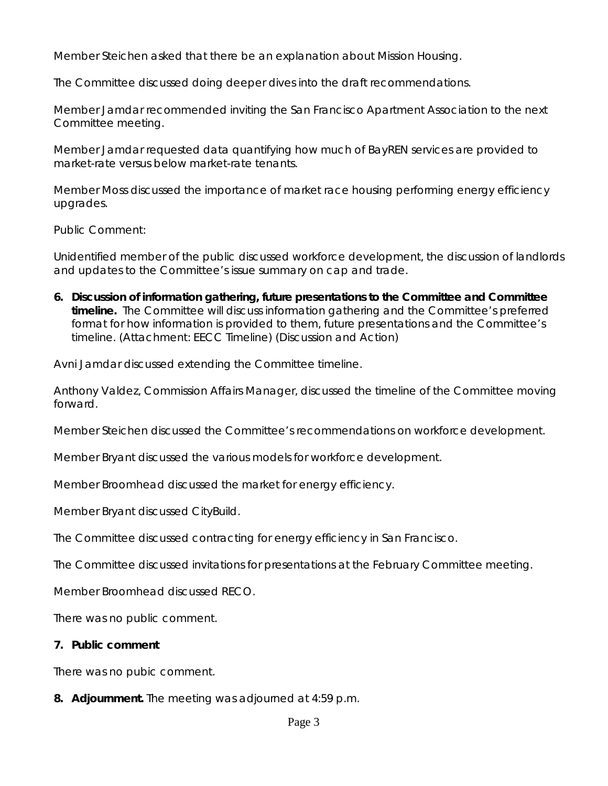Member Steichen asked that there be an explanation about Mission Housing.

The Committee discussed doing deeper dives into the draft recommendations.

Member Jamdar recommended inviting the San Francisco Apartment Association to the next Committee meeting.

Member Jamdar requested data quantifying how much of BayREN services are provided to market-rate versus below market-rate tenants.

Member Moss discussed the importance of market race housing performing energy efficiency upgrades.

Public Comment:

Unidentified member of the public discussed workforce development, the discussion of landlords and updates to the Committee's issue summary on cap and trade.

**6. Discussion of information gathering, future presentations to the Committee and Committee timeline.** The Committee will discuss information gathering and the Committee's preferred format for how information is provided to them, future presentations and the Committee's timeline. (Attachment: EECC Timeline) (Discussion and Action)

Avni Jamdar discussed extending the Committee timeline.

Anthony Valdez, Commission Affairs Manager, discussed the timeline of the Committee moving forward.

Member Steichen discussed the Committee's recommendations on workforce development.

Member Bryant discussed the various models for workforce development.

Member Broomhead discussed the market for energy efficiency.

Member Bryant discussed CityBuild.

The Committee discussed contracting for energy efficiency in San Francisco.

The Committee discussed invitations for presentations at the February Committee meeting.

Member Broomhead discussed RECO.

There was no public comment.

## **7. Public comment**

There was no pubic comment.

**8. Adjournment.** The meeting was adjourned at 4:59 p.m.